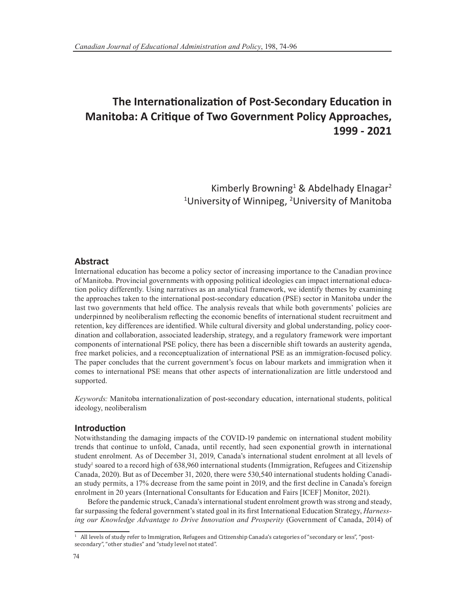# **The Internationalization of Post-Secondary Education in Manitoba: A Critique of Two Government Policy Approaches, 1999 - 2021**

Kimberly Browning<sup>1</sup> & Abdelhady Elnagar<sup>2</sup> <sup>1</sup>University of Winnipeg, <sup>2</sup>University of Manitoba

# **Abstract**

International education has become a policy sector of increasing importance to the Canadian province of Manitoba. Provincial governments with opposing political ideologies can impact international education policy differently. Using narratives as an analytical framework, we identify themes by examining the approaches taken to the international post-secondary education (PSE) sector in Manitoba under the last two governments that held office. The analysis reveals that while both governments' policies are underpinned by neoliberalism reflecting the economic benefits of international student recruitment and retention, key differences are identified. While cultural diversity and global understanding, policy coordination and collaboration, associated leadership, strategy, and a regulatory framework were important components of international PSE policy, there has been a discernible shift towards an austerity agenda, free market policies, and a reconceptualization of international PSE as an immigration-focused policy. The paper concludes that the current government's focus on labour markets and immigration when it comes to international PSE means that other aspects of internationalization are little understood and supported.

*Keywords:* Manitoba internationalization of post-secondary education, international students, political ideology, neoliberalism

#### **Introduction**

Notwithstanding the damaging impacts of the COVID-19 pandemic on international student mobility trends that continue to unfold, Canada, until recently, had seen exponential growth in international student enrolment. As of December 31, 2019, Canada's international student enrolment at all levels of study<sup>1</sup> soared to a record high of 638,960 international students (Immigration, Refugees and Citizenship Canada, 2020). But as of December 31, 2020, there were 530,540 international students holding Canadian study permits, a 17% decrease from the same point in 2019, and the first decline in Canada's foreign enrolment in 20 years (International Consultants for Education and Fairs [ICEF] Monitor, 2021).

Before the pandemic struck, Canada's international student enrolment growth was strong and steady, far surpassing the federal government's stated goal in its first International Education Strategy, *Harnessing our Knowledge Advantage to Drive Innovation and Prosperity* (Government of Canada, 2014) of

<sup>1</sup> All levels of study refer to Immigration, Refugees and Citizenship Canada's categories of "secondary or less", "postsecondary", "other studies" and "study level not stated".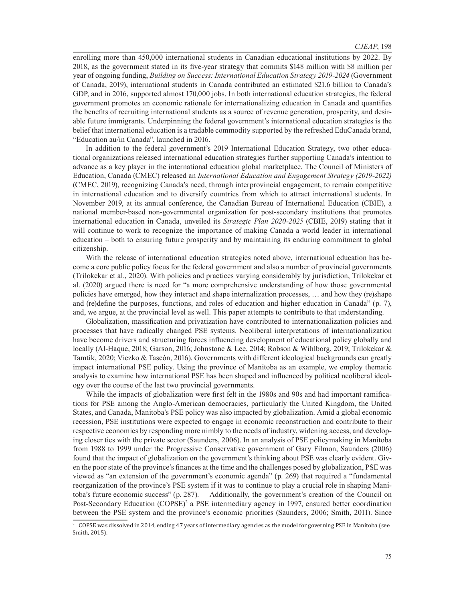enrolling more than 450,000 international students in Canadian educational institutions by 2022. By 2018, as the government stated in its five-year strategy that commits \$148 million with \$8 million per year of ongoing funding, *Building on Success: International Education Strategy 2019-2024* (Government of Canada, 2019), international students in Canada contributed an estimated \$21.6 billion to Canada's GDP, and in 2016, supported almost 170,000 jobs. In both international education strategies, the federal government promotes an economic rationale for internationalizing education in Canada and quantifies the benefits of recruiting international students as a source of revenue generation, prosperity, and desirable future immigrants. Underpinning the federal government's international education strategies is the belief that international education is a tradable commodity supported by the refreshed EduCanada brand, "Education au/in Canada", launched in 2016.

In addition to the federal government's 2019 International Education Strategy, two other educational organizations released international education strategies further supporting Canada's intention to advance as a key player in the international education global marketplace. The Council of Ministers of Education, Canada (CMEC) released an *International Education and Engagement Strategy (2019-2022)* (CMEC, 2019), recognizing Canada's need, through interprovincial engagement, to remain competitive in international education and to diversify countries from which to attract international students. In November 2019, at its annual conference, the Canadian Bureau of International Education (CBIE), a national member-based non-governmental organization for post-secondary institutions that promotes international education in Canada, unveiled its *Strategic Plan 2020-2025* (CBIE, 2019) stating that it will continue to work to recognize the importance of making Canada a world leader in international education – both to ensuring future prosperity and by maintaining its enduring commitment to global citizenship.

With the release of international education strategies noted above, international education has become a core public policy focus for the federal government and also a number of provincial governments (Trilokekar et al., 2020). With policies and practices varying considerably by jurisdiction, Trilokekar et al. (2020) argued there is need for "a more comprehensive understanding of how those governmental policies have emerged, how they interact and shape internalization processes, … and how they (re)shape and (re)define the purposes, functions, and roles of education and higher education in Canada" (p. 7), and, we argue, at the provincial level as well. This paper attempts to contribute to that understanding.

Globalization, massification and privatization have contributed to internationalization policies and processes that have radically changed PSE systems. Neoliberal interpretations of internationalization have become drivers and structuring forces influencing development of educational policy globally and locally (Al-Haque, 2018; Garson, 2016; Johnstone & Lee, 2014; Robson & Wihlborg, 2019; Trilokekar & Tamtik, 2020; Viczko & Tascón, 2016). Governments with different ideological backgrounds can greatly impact international PSE policy. Using the province of Manitoba as an example, we employ thematic analysis to examine how international PSE has been shaped and influenced by political neoliberal ideology over the course of the last two provincial governments.

While the impacts of globalization were first felt in the 1980s and 90s and had important ramifications for PSE among the Anglo-American democracies, particularly the United Kingdom, the United States, and Canada, Manitoba's PSE policy was also impacted by globalization. Amid a global economic recession, PSE institutions were expected to engage in economic reconstruction and contribute to their respective economies by responding more nimbly to the needs of industry, widening access, and developing closer ties with the private sector (Saunders, 2006). In an analysis of PSE policymaking in Manitoba from 1988 to 1999 under the Progressive Conservative government of Gary Filmon, Saunders (2006) found that the impact of globalization on the government's thinking about PSE was clearly evident. Given the poor state of the province's finances at the time and the challenges posed by globalization, PSE was viewed as "an extension of the government's economic agenda" (p. 269) that required a "fundamental reorganization of the province's PSE system if it was to continue to play a crucial role in shaping Manitoba's future economic success" (p. 287). Additionally, the government's creation of the Council on Post-Secondary Education (COPSE)<sup>2</sup> a PSE intermediary agency in 1997, ensured better coordination between the PSE system and the province's economic priorities (Saunders, 2006; Smith, 2011). Since

<sup>2</sup> COPSE was dissolved in 2014, ending 47 years of intermediary agencies as the model for governing PSE in Manitoba (see Smith, 2015).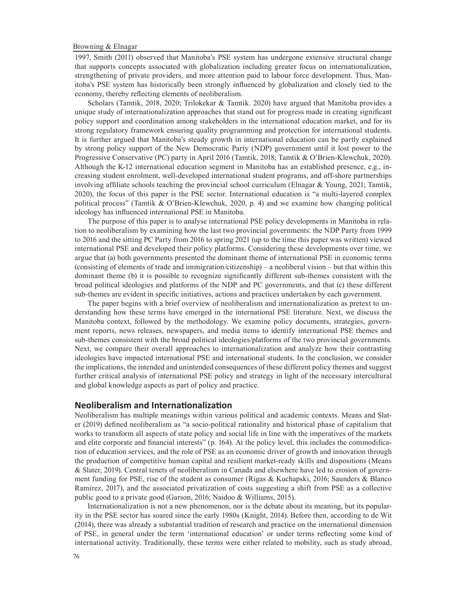1997, Smith (2011) observed that Manitoba's PSE system has undergone extensive structural change that supports concepts associated with globalization including greater focus on internationalization, strengthening of private providers, and more attention paid to labour force development. Thus, Manitoba's PSE system has historically been strongly influenced by globalization and closely tied to the economy, thereby reflecting elements of neoliberalism.

Scholars (Tamtik, 2018, 2020; Trilokekar & Tamtik. 2020) have argued that Manitoba provides a unique study of internationalization approaches that stand out for progress made in creating significant policy support and coordination among stakeholders in the international education market, and for its strong regulatory framework ensuring quality programming and protection for international students. It is further argued that Manitoba's steady growth in international education can be partly explained by strong policy support of the New Democratic Party (NDP) government until it lost power to the Progressive Conservative (PC) party in April 2016 (Tamtik, 2018; Tamtik & O'Brien-Klewchuk, 2020). Although the K-12 international education segment in Manitoba has an established presence, e.g., increasing student enrolment, well-developed international student programs, and off-shore partnerships involving affiliate schools teaching the provincial school curriculum (Elnagar & Young, 2021; Tamtik, 2020), the focus of this paper is the PSE sector. International education is "a multi-layered complex political process" (Tamtik & O'Brien-Klewchuk, 2020, p. 4) and we examine how changing political ideology has influenced international PSE in Manitoba.

The purpose of this paper is to analyse international PSE policy developments in Manitoba in relation to neoliberalism by examining how the last two provincial governments: the NDP Party from 1999 to 2016 and the sitting PC Party from 2016 to spring 2021 (up to the time this paper was written) viewed international PSE and developed their policy platforms. Considering these developments over time, we argue that (a) both governments presented the dominant theme of international PSE in economic terms (consisting of elements of trade and immigration/citizenship) – a neoliberal vision – but that within this dominant theme (b) it is possible to recognize significantly different sub-themes consistent with the broad political ideologies and platforms of the NDP and PC governments, and that (c) these different sub-themes are evident in specific initiatives, actions and practices undertaken by each government.

The paper begins with a brief overview of neoliberalism and internationalization as pretext to understanding how these terms have emerged in the international PSE literature. Next, we discuss the Manitoba context, followed by the methodology. We examine policy documents, strategies, government reports, news releases, newspapers, and media items to identify international PSE themes and sub-themes consistent with the broad political ideologies/platforms of the two provincial governments. Next, we compare their overall approaches to internationalization and analyze how their contrasting ideologies have impacted international PSE and international students. In the conclusion, we consider the implications, the intended and unintended consequences of these different policy themes and suggest further critical analysis of international PSE policy and strategy in light of the necessary intercultural and global knowledge aspects as part of policy and practice.

## **Neoliberalism and Internationalization**

Neoliberalism has multiple meanings within various political and academic contexts. Means and Slater (2019) defined neoliberalism as "a socio-political rationality and historical phase of capitalism that works to transform all aspects of state policy and social life in line with the imperatives of the markets and elite corporate and financial interests" (p. 164). At the policy level, this includes the commodification of education services, and the role of PSE as an economic driver of growth and innovation through the production of competitive human capital and resilient market-ready skills and dispositions (Means & Slater, 2019). Central tenets of neoliberalism in Canada and elsewhere have led to erosion of government funding for PSE, rise of the student as consumer (Rigas & Kuchapski, 2016; Saunders & Blanco Ramirez, 2017), and the associated privatization of costs suggesting a shift from PSE as a collective public good to a private good (Garson, 2016; Naidoo & Williams, 2015).

Internationalization is not a new phenomenon, nor is the debate about its meaning, but its popularity in the PSE sector has soared since the early 1980s (Knight, 2014). Before then, according to de Wit (2014), there was already a substantial tradition of research and practice on the international dimension of PSE, in general under the term 'international education' or under terms reflecting some kind of international activity. Traditionally, these terms were either related to mobility, such as study abroad,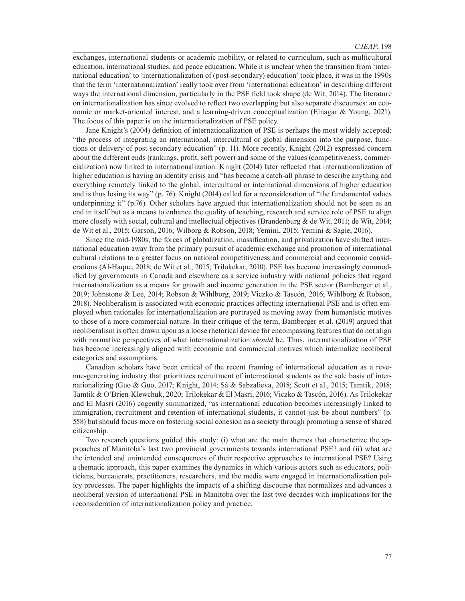exchanges, international students or academic mobility, or related to curriculum, such as multicultural education, international studies, and peace education. While it is unclear when the transition from 'international education' to 'internationalization of (post-secondary) education' took place, it was in the 1990s that the term 'internationalization' really took over from 'international education' in describing different ways the international dimension, particularly in the PSE field took shape (de Wit, 2014). The literature on internationalization has since evolved to reflect two overlapping but also separate discourses: an economic or market-oriented interest, and a learning-driven conceptualization (Elnagar & Young, 2021). The focus of this paper is on the internationalization of PSE policy.

Jane Knight's (2004) definition of internationalization of PSE is perhaps the most widely accepted: "the process of integrating an international, intercultural or global dimension into the purpose, functions or delivery of post-secondary education" (p. 11). More recently, Knight (2012) expressed concern about the different ends (rankings, profit, soft power) and some of the values (competitiveness, commercialization) now linked to internationalization. Knight (2014) later reflected that internationalization of higher education is having an identity crisis and "has become a catch-all phrase to describe anything and everything remotely linked to the global, intercultural or international dimensions of higher education and is thus losing its way" (p. 76). Knight (2014) called for a reconsideration of "the fundamental values underpinning it" (p.76). Other scholars have argued that internationalization should not be seen as an end in itself but as a means to enhance the quality of teaching, research and service role of PSE to align more closely with social, cultural and intellectual objectives (Brandenburg & de Wit, 2011; de Wit, 2014; de Wit et al., 2015; Garson, 2016; Wilborg & Robson, 2018; Yemini, 2015; Yemini & Sagie, 2016).

Since the mid-1980s, the forces of globalization, massification, and privatization have shifted international education away from the primary pursuit of academic exchange and promotion of international cultural relations to a greater focus on national competitiveness and commercial and economic considerations (Al-Haque, 2018; de Wit et al., 2015; Trilokekar, 2010). PSE has become increasingly commodified by governments in Canada and elsewhere as a service industry with national policies that regard internationalization as a means for growth and income generation in the PSE sector (Bamberger et al., 2019; Johnstone & Lee, 2014; Robson & Wihlborg, 2019; Viczko & Tascón, 2016; Wihlborg & Robson, 2018). Neoliberalism is associated with economic practices affecting international PSE and is often employed when rationales for internationalization are portrayed as moving away from humanistic motives to those of a more commercial nature. In their critique of the term, Bamberger et al. (2019) argued that neoliberalism is often drawn upon as a loose rhetorical device for encompassing features that do not align with normative perspectives of what internationalization *should* be. Thus, internationalization of PSE has become increasingly aligned with economic and commercial motives which internalize neoliberal categories and assumptions.

Canadian scholars have been critical of the recent framing of international education as a revenue-generating industry that prioritizes recruitment of international students as the sole basis of internationalizing (Guo & Guo, 2017; Knight, 2014; Sá & Sabzalieva, 2018; Scott et al., 2015; Tamtik, 2018; Tamtik & O'Brien-Klewchuk, 2020; Trilokekar & El Masri, 2016; Viczko & Tascón, 2016). As Trilokekar and El Masri (2016) cogently summarized, "as international education becomes increasingly linked to immigration, recruitment and retention of international students, it cannot just be about numbers" (p. 558) but should focus more on fostering social cohesion as a society through promoting a sense of shared citizenship.

Two research questions guided this study: (i) what are the main themes that characterize the approaches of Manitoba's last two provincial governments towards international PSE? and (ii) what are the intended and unintended consequences of their respective approaches to international PSE? Using a thematic approach, this paper examines the dynamics in which various actors such as educators, politicians, bureaucrats, practitioners, researchers, and the media were engaged in internationalization policy processes. The paper highlights the impacts of a shifting discourse that normalizes and advances a neoliberal version of international PSE in Manitoba over the last two decades with implications for the reconsideration of internationalization policy and practice.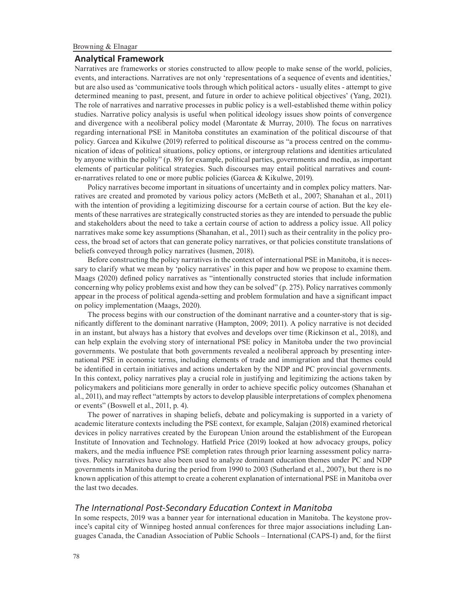## **Analytical Framework**

Narratives are frameworks or stories constructed to allow people to make sense of the world, policies, events, and interactions. Narratives are not only 'representations of a sequence of events and identities,' but are also used as 'communicative tools through which political actors - usually elites - attempt to give determined meaning to past, present, and future in order to achieve political objectives' (Yang, 2021). The role of narratives and narrative processes in public policy is a well-established theme within policy studies. Narrative policy analysis is useful when political ideology issues show points of convergence and divergence with a neoliberal policy model (Marontate & Murray, 2010). The focus on narratives regarding international PSE in Manitoba constitutes an examination of the political discourse of that policy. Garcea and Kikulwe (2019) referred to political discourse as "a process centred on the communication of ideas of political situations, policy options, or intergroup relations and identities articulated by anyone within the polity" (p. 89) for example, political parties, governments and media, as important elements of particular political strategies. Such discourses may entail political narratives and counter-narratives related to one or more public policies (Garcea & Kikulwe, 2019).

Policy narratives become important in situations of uncertainty and in complex policy matters. Narratives are created and promoted by various policy actors (McBeth et al., 2007; Shanahan et al., 2011) with the intention of providing a legitimizing discourse for a certain course of action. But the key elements of these narratives are strategically constructed stories as they are intended to persuade the public and stakeholders about the need to take a certain course of action to address a policy issue. All policy narratives make some key assumptions (Shanahan, et al., 2011) such as their centrality in the policy process, the broad set of actors that can generate policy narratives, or that policies constitute translations of beliefs conveyed through policy narratives (Iusmen, 2018).

Before constructing the policy narratives in the context of international PSE in Manitoba, it is necessary to clarify what we mean by 'policy narratives' in this paper and how we propose to examine them. Maags (2020) defined policy narratives as "intentionally constructed stories that include information concerning why policy problems exist and how they can be solved" (p. 275). Policy narratives commonly appear in the process of political agenda-setting and problem formulation and have a significant impact on policy implementation (Maags, 2020).

The process begins with our construction of the dominant narrative and a counter-story that is significantly different to the dominant narrative (Hampton, 2009; 2011). A policy narrative is not decided in an instant, but always has a history that evolves and develops over time (Rickinson et al., 2018), and can help explain the evolving story of international PSE policy in Manitoba under the two provincial governments. We postulate that both governments revealed a neoliberal approach by presenting international PSE in economic terms, including elements of trade and immigration and that themes could be identified in certain initiatives and actions undertaken by the NDP and PC provincial governments. In this context, policy narratives play a crucial role in justifying and legitimizing the actions taken by policymakers and politicians more generally in order to achieve specific policy outcomes (Shanahan et al., 2011), and may reflect "attempts by actors to develop plausible interpretations of complex phenomena or events" (Boswell et al., 2011, p. 4).

The power of narratives in shaping beliefs, debate and policymaking is supported in a variety of academic literature contexts including the PSE context, for example, Salajan (2018) examined rhetorical devices in policy narratives created by the European Union around the establishment of the European Institute of Innovation and Technology. Hatfield Price (2019) looked at how advocacy groups, policy makers, and the media influence PSE completion rates through prior learning assessment policy narratives. Policy narratives have also been used to analyze dominant education themes under PC and NDP governments in Manitoba during the period from 1990 to 2003 (Sutherland et al., 2007), but there is no known application of this attempt to create a coherent explanation of international PSE in Manitoba over the last two decades.

# *The International Post-Secondary Education Context in Manitoba*

In some respects, 2019 was a banner year for international education in Manitoba. The keystone province's capital city of Winnipeg hosted annual conferences for three major associations including Languages Canada, the Canadian Association of Public Schools – International (CAPS-I) and, for the fiirst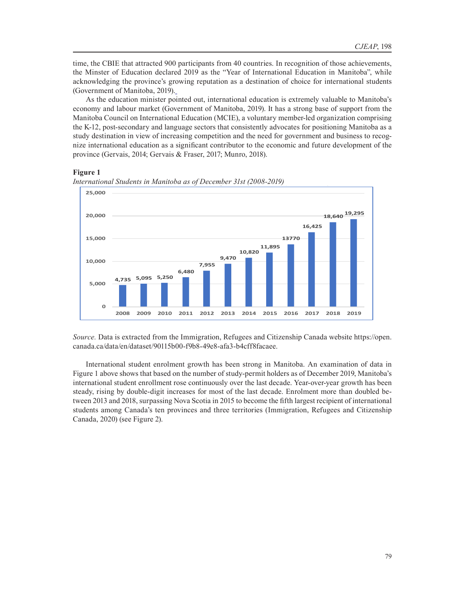time, the CBIE that attracted 900 participants from 40 countries. In recognition of those achievements, the Minster of Education declared 2019 as the "Year of International Education in Manitoba", while acknowledging the province's growing reputation as a destination of choice for international students (Government of Manitoba, 2019).

As the education minister pointed out, international education is extremely valuable to Manitoba's economy and labour market (Government of Manitoba, 2019). It has a strong base of support from the Manitoba Council on International Education (MCIE), a voluntary member-led organization comprising the K-12, post-secondary and language sectors that consistently advocates for positioning Manitoba as a study destination in view of increasing competition and the need for government and business to recognize international education as a significant contributor to the economic and future development of the province (Gervais, 2014; Gervais & Fraser, 2017; Munro, 2018).

# **Figure 1 Figure 1**



*International Students in Manitoba as of December 31st (2008-2019) International Students in Manitoba as of December 31st (2008-2019)*

*Source.* Data is extracted from the Immigration, Refugees and Citizenship Canada website https://open. canada.ca/data/en/dataset/90115b00-f9b8-49e8-afa3-b4cff8facaee.

International student enrolment growth has been strong in Manitoba. An examination of data in Figure 1 above shows that based on the number of study-permit holders as of December 2019, Manitoba's international student enrollment rose continuously over the last decade. Year-over-year growth has been steady, rising by double-digit increases for most of the last decade. Enrolment more than doubled between 2013 and 2018, surpassing Nova Scotia in 2015 to become the fifth largest recipient of international students among Canada's ten provinces and three territories (Immigration, Refugees and Citizenship Canada, 2020) (see Figure 2).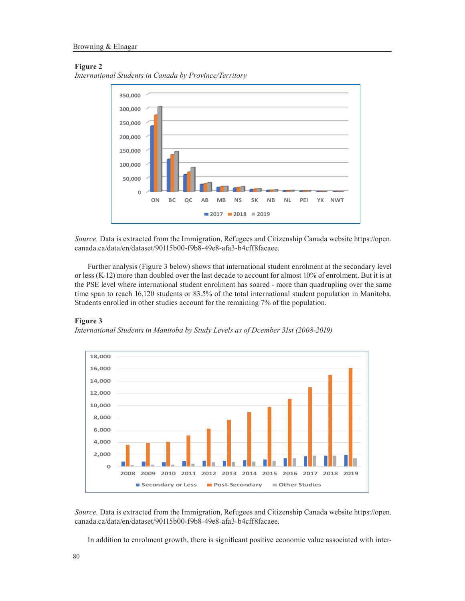## **Figure 2**





*Source.* Data is extracted from the Immigration, Refugees and Citizenship Canada website https://open. canada.ca/data/en/dataset/90115b00-f9b8-49e8-afa3-b4cff8facaee.

Further analysis (Figure 3 below) shows that international student enrolment at the secondary level or less (K-12) more than doubled over the last decade to account for almost 10% of enrolment. But it is at the PSE level where international student enrolment has soared - more than quadrupling over the same time span to reach 16,120 students or 83.5% of the total international student population in Manitoba. Students enrolled in other studies account for the remaining 7% of the population.

## **Figure 3**

*International Students in Manitoba by Study Levels as of Dcember 31st (2008-2019)*



*Source.* Data is extracted from the Immigration, Refugees and Citizenship Canada website https://open. canada.ca/data/en/dataset/90115b00-f9b8-49e8-afa3-b4cff8facaee.

In addition to enrolment growth, there is significant positive economic value associated with inter-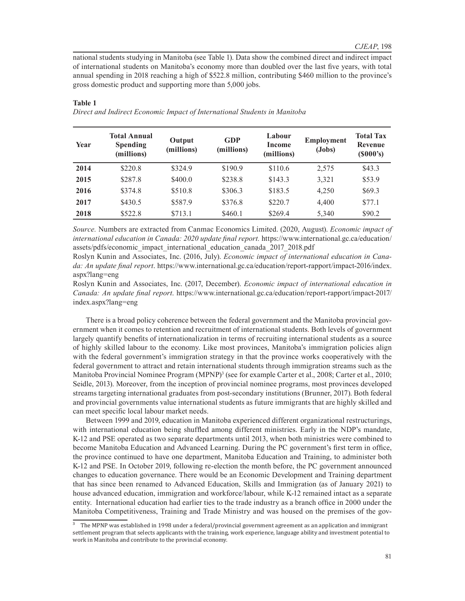national students studying in Manitoba (see Table 1). Data show the combined direct and indirect impact of international students on Manitoba's economy more than doubled over the last five years, with total annual spending in 2018 reaching a high of \$522.8 million, contributing \$460 million to the province's gross domestic product and supporting more than 5,000 jobs.

| Year | <b>Total Annual</b><br><b>Spending</b><br>(millions) | Output<br>(millions) | <b>GDP</b><br>(millions) | Labour<br>Income<br>(millions) | <b>Employment</b><br>$(Jobs)$ | <b>Total Tax</b><br><b>Revenue</b><br>(S000's) |
|------|------------------------------------------------------|----------------------|--------------------------|--------------------------------|-------------------------------|------------------------------------------------|
| 2014 | \$220.8                                              | \$324.9              | \$190.9                  | \$110.6                        | 2,575                         | \$43.3                                         |
| 2015 | \$287.8                                              | \$400.0              | \$238.8                  | \$143.3                        | 3,321                         | \$53.9                                         |
| 2016 | \$374.8                                              | \$510.8              | \$306.3                  | \$183.5                        | 4,250                         | \$69.3                                         |
| 2017 | \$430.5                                              | \$587.9              | \$376.8                  | \$220.7                        | 4.400                         | \$77.1                                         |
| 2018 | \$522.8                                              | \$713.1              | \$460.1                  | \$269.4                        | 5,340                         | \$90.2                                         |

## **Table 1**

*Direct and Indirect Economic Impact of International Students in Manitoba* 

*Source.* Numbers are extracted from Canmac Economics Limited. (2020, August). *Economic impact of international education in Canada: 2020 update final report.* https://www.international.gc.ca/education/ assets/pdfs/economic\_impact\_international\_education\_canada\_2017\_2018.pdf

Roslyn Kunin and Associates, Inc. (2016, July). *Economic impact of international education in Canada: An update final report*. https://www.international.gc.ca/education/report-rapport/impact-2016/index. aspx?lang=eng

Roslyn Kunin and Associates, Inc. (2017, December). *Economic impact of international education in Canada: An update final report*. https://www.international.gc.ca/education/report-rapport/impact-2017/ index.aspx?lang=eng

There is a broad policy coherence between the federal government and the Manitoba provincial government when it comes to retention and recruitment of international students. Both levels of government largely quantify benefits of internationalization in terms of recruiting international students as a source of highly skilled labour to the economy. Like most provinces, Manitoba's immigration policies align with the federal government's immigration strategy in that the province works cooperatively with the federal government to attract and retain international students through immigration streams such as the Manitoba Provincial Nominee Program (MPNP)<sup>3</sup> (see for example Carter et al., 2008; Carter et al., 2010; Seidle, 2013). Moreover, from the inception of provincial nominee programs, most provinces developed streams targeting international graduates from post-secondary institutions (Brunner, 2017). Both federal and provincial governments value international students as future immigrants that are highly skilled and can meet specific local labour market needs.

Between 1999 and 2019, education in Manitoba experienced different organizational restructurings, with international education being shuffled among different ministries. Early in the NDP's mandate, K-12 and PSE operated as two separate departments until 2013, when both ministries were combined to become Manitoba Education and Advanced Learning. During the PC government's first term in office, the province continued to have one department, Manitoba Education and Training, to administer both K-12 and PSE. In October 2019, following re-election the month before, the PC government announced changes to education governance. There would be an Economic Development and Training department that has since been renamed to Advanced Education, Skills and Immigration (as of January 2021) to house advanced education, immigration and workforce/labour, while K-12 remained intact as a separate entity. International education had earlier ties to the trade industry as a branch office in 2000 under the Manitoba Competitiveness, Training and Trade Ministry and was housed on the premises of the gov-

³ The MPNP was established in 1998 under a federal/provincial government agreement as an application and immigrant settlement program that selects applicants with the training, work experience, language ability and investment potential to work in Manitoba and contribute to the provincial economy.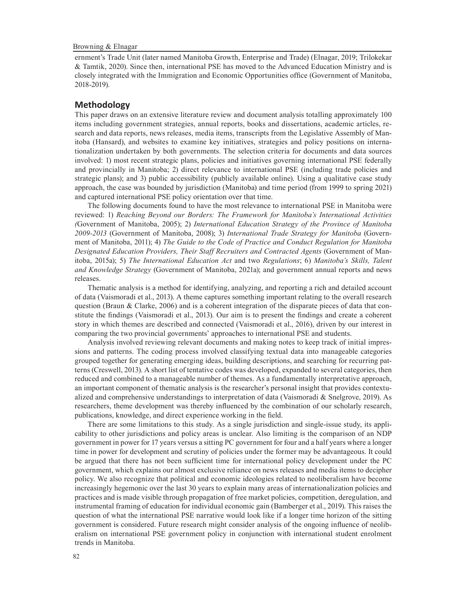ernment's Trade Unit (later named Manitoba Growth, Enterprise and Trade) (Elnagar, 2019; Trilokekar & Tamtik, 2020). Since then, international PSE has moved to the Advanced Education Ministry and is closely integrated with the Immigration and Economic Opportunities office (Government of Manitoba, 2018-2019).

# **Methodology**

This paper draws on an extensive literature review and document analysis totalling approximately 100 items including government strategies, annual reports, books and dissertations, academic articles, research and data reports, news releases, media items, transcripts from the Legislative Assembly of Manitoba (Hansard), and websites to examine key initiatives, strategies and policy positions on internationalization undertaken by both governments. The selection criteria for documents and data sources involved: 1) most recent strategic plans, policies and initiatives governing international PSE federally and provincially in Manitoba; 2) direct relevance to international PSE (including trade policies and strategic plans); and 3) public accessibility (publicly available online). Using a qualitative case study approach, the case was bounded by jurisdiction (Manitoba) and time period (from 1999 to spring 2021) and captured international PSE policy orientation over that time.

The following documents found to have the most relevance to international PSE in Manitoba were reviewed: 1) *Reaching Beyond our Borders: The Framework for Manitoba's International Activities (*Government of Manitoba, 2005); 2) *International Education Strategy of the Province of Manitoba 2009-2013* (Government of Manitoba, 2008); 3) *International Trade Strategy for Manitoba* (Government of Manitoba, 2011); 4) *The Guide to the Code of Practice and Conduct Regulation for Manitoba Designated Education Providers, Their Staff Recruiters and Contracted Agents* (Government of Manitoba, 2015a); 5) *The International Education Act* and two *Regulations*; 6) *Manitoba's Skills, Talent and Knowledge Strategy* (Government of Manitoba, 2021a); and government annual reports and news releases.

Thematic analysis is a method for identifying, analyzing, and reporting a rich and detailed account of data (Vaismoradi et al., 2013). A theme captures something important relating to the overall research question (Braun & Clarke, 2006) and is a coherent integration of the disparate pieces of data that constitute the findings (Vaismoradi et al., 2013). Our aim is to present the findings and create a coherent story in which themes are described and connected (Vaismoradi et al., 2016), driven by our interest in comparing the two provincial governments' approaches to international PSE and students.

Analysis involved reviewing relevant documents and making notes to keep track of initial impressions and patterns. The coding process involved classifying textual data into manageable categories grouped together for generating emerging ideas, building descriptions, and searching for recurring patterns (Creswell, 2013). A short list of tentative codes was developed, expanded to several categories, then reduced and combined to a manageable number of themes. As a fundamentally interpretative approach, an important component of thematic analysis is the researcher's personal insight that provides contextualized and comprehensive understandings to interpretation of data (Vaismoradi & Snelgrove, 2019). As researchers, theme development was thereby influenced by the combination of our scholarly research, publications, knowledge, and direct experience working in the field.

There are some limitations to this study. As a single jurisdiction and single-issue study, its applicability to other jurisdictions and policy areas is unclear. Also limiting is the comparison of an NDP government in power for 17 years versus a sitting PC government for four and a half years where a longer time in power for development and scrutiny of policies under the former may be advantageous. It could be argued that there has not been sufficient time for international policy development under the PC government, which explains our almost exclusive reliance on news releases and media items to decipher policy. We also recognize that political and economic ideologies related to neoliberalism have become increasingly hegemonic over the last 30 years to explain many areas of internationalization policies and practices and is made visible through propagation of free market policies, competition, deregulation, and instrumental framing of education for individual economic gain (Bamberger et al., 2019). This raises the question of what the international PSE narrative would look like if a longer time horizon of the sitting government is considered. Future research might consider analysis of the ongoing influence of neoliberalism on international PSE government policy in conjunction with international student enrolment trends in Manitoba.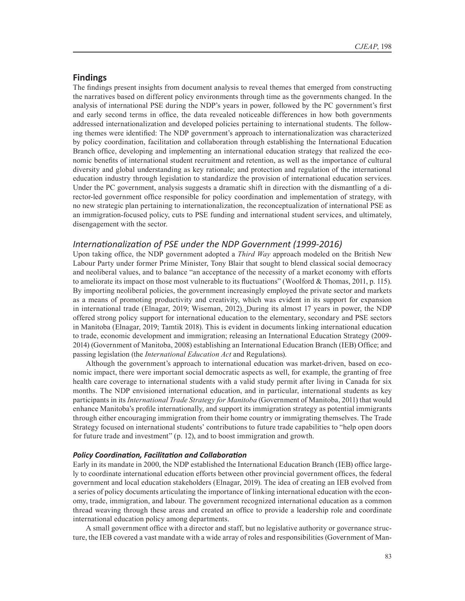## **Findings**

The findings present insights from document analysis to reveal themes that emerged from constructing the narratives based on different policy environments through time as the governments changed. In the analysis of international PSE during the NDP's years in power, followed by the PC government's first and early second terms in office, the data revealed noticeable differences in how both governments addressed internationalization and developed policies pertaining to international students. The following themes were identified: The NDP government's approach to internationalization was characterized by policy coordination, facilitation and collaboration through establishing the International Education Branch office, developing and implementing an international education strategy that realized the economic benefits of international student recruitment and retention, as well as the importance of cultural diversity and global understanding as key rationale; and protection and regulation of the international education industry through legislation to standardize the provision of international education services. Under the PC government, analysis suggests a dramatic shift in direction with the dismantling of a director-led government office responsible for policy coordination and implementation of strategy, with no new strategic plan pertaining to internationalization, the reconceptualization of international PSE as an immigration-focused policy, cuts to PSE funding and international student services, and ultimately, disengagement with the sector.

## *Internationalization of PSE under the NDP Government (1999-2016)*

Upon taking office, the NDP government adopted a *Third Way* approach modeled on the British New Labour Party under former Prime Minister, Tony Blair that sought to blend classical social democracy and neoliberal values, and to balance "an acceptance of the necessity of a market economy with efforts to ameliorate its impact on those most vulnerable to its fluctuations" (Woolford & Thomas, 2011, p. 115). By importing neoliberal policies, the government increasingly employed the private sector and markets as a means of promoting productivity and creativity, which was evident in its support for expansion in international trade (Elnagar, 2019; Wiseman, 2012). During its almost 17 years in power, the NDP offered strong policy support for international education to the elementary, secondary and PSE sectors in Manitoba (Elnagar, 2019; Tamtik 2018). This is evident in documents linking international education to trade, economic development and immigration; releasing an International Education Strategy (2009- 2014) (Government of Manitoba, 2008) establishing an International Education Branch (IEB) Office; and passing legislation (the *International Education Act* and Regulations).

Although the government's approach to international education was market-driven, based on economic impact, there were important social democratic aspects as well, for example, the granting of free health care coverage to international students with a valid study permit after living in Canada for six months. The NDP envisioned international education, and in particular, international students as key participants in its *International Trade Strategy for Manitoba* (Government of Manitoba, 2011) that would enhance Manitoba's profile internationally, and support its immigration strategy as potential immigrants through either encouraging immigration from their home country or immigrating themselves. The Trade Strategy focused on international students' contributions to future trade capabilities to "help open doors for future trade and investment" (p. 12), and to boost immigration and growth.

## *Policy Coordination, Facilitation and Collaboration*

Early in its mandate in 2000, the NDP established the International Education Branch (IEB) office largely to coordinate international education efforts between other provincial government offices, the federal government and local education stakeholders (Elnagar, 2019). The idea of creating an IEB evolved from a series of policy documents articulating the importance of linking international education with the economy, trade, immigration, and labour. The government recognized international education as a common thread weaving through these areas and created an office to provide a leadership role and coordinate international education policy among departments.

A small government office with a director and staff, but no legislative authority or governance structure, the IEB covered a vast mandate with a wide array of roles and responsibilities (Government of Man-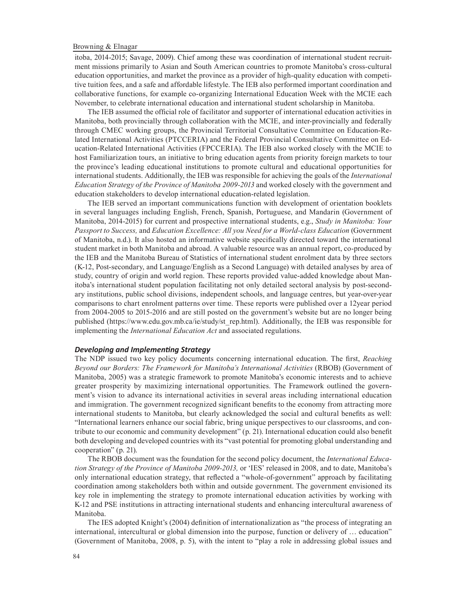itoba, 2014-2015; Savage, 2009). Chief among these was coordination of international student recruitment missions primarily to Asian and South American countries to promote Manitoba's cross-cultural education opportunities, and market the province as a provider of high-quality education with competitive tuition fees, and a safe and affordable lifestyle. The IEB also performed important coordination and collaborative functions, for example co-organizing International Education Week with the MCIE each November, to celebrate international education and international student scholarship in Manitoba.

The IEB assumed the official role of facilitator and supporter of international education activities in Manitoba, both provincially through collaboration with the MCIE, and inter-provincially and federally through CMEC working groups, the Provincial Territorial Consultative Committee on Education-Related International Activities (PTCCERIA) and the Federal Provincial Consultative Committee on Education-Related International Activities (FPCCERIA). The IEB also worked closely with the MCIE to host Familiarization tours, an initiative to bring education agents from priority foreign markets to tour the province's leading educational institutions to promote cultural and educational opportunities for international students. Additionally, the IEB was responsible for achieving the goals of the *International Education Strategy of the Province of Manitoba 2009-2013* and worked closely with the government and education stakeholders to develop international education-related legislation.

The IEB served an important communications function with development of orientation booklets in several languages including English, French, Spanish, Portuguese, and Mandarin (Government of Manitoba, 2014-2015) for current and prospective international students, e.g., *Study in Manitoba: Your Passport to Success,* and *Education Excellence: All you Need for a World-class Education* (Government of Manitoba, n.d.). It also hosted an informative website specifically directed toward the international student market in both Manitoba and abroad. A valuable resource was an annual report, co-produced by the IEB and the Manitoba Bureau of Statistics of international student enrolment data by three sectors (K-12, Post-secondary, and Language/English as a Second Language) with detailed analyses by area of study, country of origin and world region. These reports provided value-added knowledge about Manitoba's international student population facilitating not only detailed sectoral analysis by post-secondary institutions, public school divisions, independent schools, and language centres, but year-over-year comparisons to chart enrolment patterns over time. These reports were published over a 12year period from 2004-2005 to 2015-2016 and are still posted on the government's website but are no longer being published (https://www.edu.gov.mb.ca/ie/study/st\_rep.html). Additionally, the IEB was responsible for implementing the *International Education Act* and associated regulations.

## *Developing and Implementing Strategy*

The NDP issued two key policy documents concerning international education. The first, *Reaching Beyond our Borders: The Framework for Manitoba's International Activities* (RBOB) (Government of Manitoba, 2005) was a strategic framework to promote Manitoba's economic interests and to achieve greater prosperity by maximizing international opportunities. The Framework outlined the government's vision to advance its international activities in several areas including international education and immigration. The government recognized significant benefits to the economy from attracting more international students to Manitoba, but clearly acknowledged the social and cultural benefits as well: "International learners enhance our social fabric, bring unique perspectives to our classrooms, and contribute to our economic and community development" (p. 21). International education could also benefit both developing and developed countries with its "vast potential for promoting global understanding and cooperation" (p. 21).

The RBOB document was the foundation for the second policy document, the *International Education Strategy of the Province of Manitoba 2009-2013,* or 'IES' released in 2008, and to date, Manitoba's only international education strategy, that reflected a "whole-of-government" approach by facilitating coordination among stakeholders both within and outside government. The government envisioned its key role in implementing the strategy to promote international education activities by working with K-12 and PSE institutions in attracting international students and enhancing intercultural awareness of Manitoba.

The IES adopted Knight's (2004) definition of internationalization as "the process of integrating an international, intercultural or global dimension into the purpose, function or delivery of … education" (Government of Manitoba, 2008, p. 5), with the intent to "play a role in addressing global issues and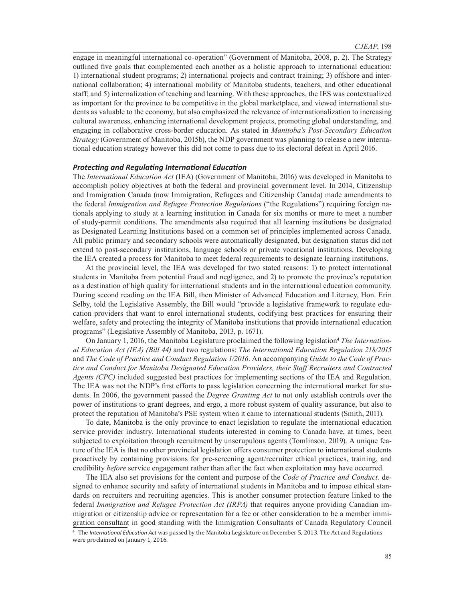engage in meaningful international co-operation" (Government of Manitoba, 2008, p. 2). The Strategy outlined five goals that complemented each another as a holistic approach to international education: 1) international student programs; 2) international projects and contract training; 3) offshore and international collaboration; 4) international mobility of Manitoba students, teachers, and other educational staff; and 5) internalization of teaching and learning. With these approaches, the IES was contextualized as important for the province to be competitive in the global marketplace, and viewed international students as valuable to the economy, but also emphasized the relevance of internationalization to increasing cultural awareness, enhancing international development projects, promoting global understanding, and engaging in collaborative cross-border education. As stated in *Manitoba's Post-Secondary Education Strategy* (Government of Manitoba, 2015b), the NDP government was planning to release a new international education strategy however this did not come to pass due to its electoral defeat in April 2016.

### *Protecting and Regulating International Education*

The *International Education Act* (IEA) (Government of Manitoba, 2016) was developed in Manitoba to accomplish policy objectives at both the federal and provincial government level. In 2014, Citizenship and Immigration Canada (now Immigration, Refugees and Citizenship Canada) made amendments to the federal *Immigration and Refugee Protection Regulations* ("the Regulations") requiring foreign nationals applying to study at a learning institution in Canada for six months or more to meet a number of study-permit conditions. The amendments also required that all learning institutions be designated as Designated Learning Institutions based on a common set of principles implemented across Canada. All public primary and secondary schools were automatically designated, but designation status did not extend to post-secondary institutions, language schools or private vocational institutions. Developing the IEA created a process for Manitoba to meet federal requirements to designate learning institutions.

At the provincial level, the IEA was developed for two stated reasons: 1) to protect international students in Manitoba from potential fraud and negligence, and 2) to promote the province's reputation as a destination of high quality for international students and in the international education community. During second reading on the IEA Bill, then Minister of Advanced Education and Literacy, Hon. Erin Selby, told the Legislative Assembly, the Bill would "provide a legislative framework to regulate education providers that want to enrol international students, codifying best practices for ensuring their welfare, safety and protecting the integrity of Manitoba institutions that provide international education programs" (Legislative Assembly of Manitoba, 2013, p. 1671).

On January 1, 2016, the Manitoba Legislature proclaimed the following legislation<sup>4</sup> The Internation*al Education Act (IEA) (Bill 44)* and two regulations: *The International Education Regulation 218/2015* and *The Code of Practice and Conduct Regulation 1/2016*. An accompanying *Guide to the Code of Practice and Conduct for Manitoba Designated Education Providers, their Staff Recruiters and Contracted Agents (CPC)* included suggested best practices for implementing sections of the IEA and Regulation. The IEA was not the NDP's first efforts to pass legislation concerning the international market for students. In 2006, the government passed the *Degree Granting Act* to not only establish controls over the power of institutions to grant degrees, and ergo, a more robust system of quality assurance, but also to protect the reputation of Manitoba's PSE system when it came to international students (Smith, 2011).

To date, Manitoba is the only province to enact legislation to regulate the international education service provider industry. International students interested in coming to Canada have, at times, been subjected to exploitation through recruitment by unscrupulous agents (Tomlinson, 2019). A unique feature of the IEA is that no other provincial legislation offers consumer protection to international students proactively by containing provisions for pre-screening agent/recruiter ethical practices, training, and credibility *before* service engagement rather than after the fact when exploitation may have occurred.

The IEA also set provisions for the content and purpose of the *Code of Practice and Conduct,* designed to enhance security and safety of international students in Manitoba and to impose ethical standards on recruiters and recruiting agencies. This is another consumer protection feature linked to the federal *Immigration and Refugee Protection Act (IRPA)* that requires anyone providing Canadian immigration or citizenship advice or representation for a fee or other consideration to be a member immigration consultant in good standing with the Immigration Consultants of Canada Regulatory Council

<sup>4</sup> The *International Education Act* was passed by the Manitoba Legislature on December 5, 2013. The Act and Regulations were proclaimed on January 1, 2016.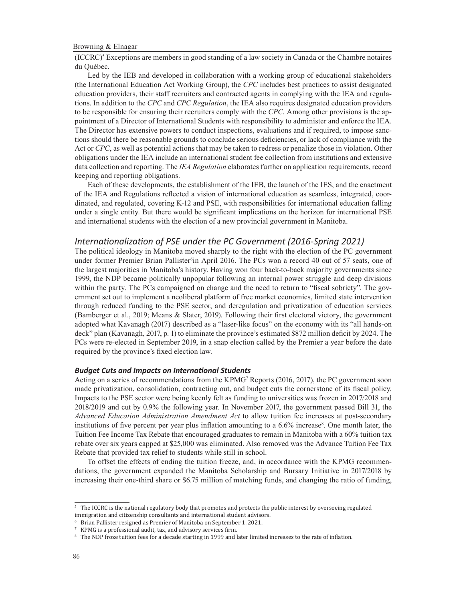$(ICERC)^5$  Exceptions are members in good standing of a law society in Canada or the Chambre notaires du Québec.

Led by the IEB and developed in collaboration with a working group of educational stakeholders (the International Education Act Working Group), the *CPC* includes best practices to assist designated education providers, their staff recruiters and contracted agents in complying with the IEA and regulations. In addition to the *CPC* and *CPC Regulation*, the IEA also requires designated education providers to be responsible for ensuring their recruiters comply with the *CPC*. Among other provisions is the appointment of a Director of International Students with responsibility to administer and enforce the IEA. The Director has extensive powers to conduct inspections, evaluations and if required, to impose sanctions should there be reasonable grounds to conclude serious deficiencies, or lack of compliance with the Act or *CPC*, as well as potential actions that may be taken to redress or penalize those in violation. Other obligations under the IEA include an international student fee collection from institutions and extensive data collection and reporting. The *IEA Regulation* elaborates further on application requirements, record keeping and reporting obligations.

Each of these developments, the establishment of the IEB, the launch of the IES, and the enactment of the IEA and Regulations reflected a vision of international education as seamless, integrated, coordinated, and regulated, covering K-12 and PSE, with responsibilities for international education falling under a single entity. But there would be significant implications on the horizon for international PSE and international students with the election of a new provincial government in Manitoba.

# *Internationalization of PSE under the PC Government (2016-Spring 2021)*

The political ideology in Manitoba moved sharply to the right with the election of the PC government under former Premier Brian Pallister<sup>6</sup>in April 2016. The PCs won a record 40 out of 57 seats, one of the largest majorities in Manitoba's history. Having won four back-to-back majority governments since 1999, the NDP became politically unpopular following an internal power struggle and deep divisions within the party. The PCs campaigned on change and the need to return to "fiscal sobriety". The government set out to implement a neoliberal platform of free market economics, limited state intervention through reduced funding to the PSE sector, and deregulation and privatization of education services (Bamberger et al., 2019; Means & Slater, 2019). Following their first electoral victory, the government adopted what Kavanagh (2017) described as a "laser-like focus" on the economy with its "all hands-on deck" plan (Kavanagh, 2017, p. 1) to eliminate the province's estimated \$872 million deficit by 2024. The PCs were re-elected in September 2019, in a snap election called by the Premier a year before the date required by the province's fixed election law.

## *Budget Cuts and Impacts on International Students*

Acting on a series of recommendations from the KPMG<sup>7</sup> Reports (2016, 2017), the PC government soon made privatization, consolidation, contracting out, and budget cuts the cornerstone of its fiscal policy. Impacts to the PSE sector were being keenly felt as funding to universities was frozen in 2017/2018 and 2018/2019 and cut by 0.9% the following year. In November 2017, the government passed Bill 31, the *Advanced Education Administration Amendment Act* to allow tuition fee increases at post-secondary institutions of five percent per year plus inflation amounting to a 6.6% increase<sup>8</sup>. One month later, the Tuition Fee Income Tax Rebate that encouraged graduates to remain in Manitoba with a 60% tuition tax rebate over six years capped at \$25,000 was eliminated. Also removed was the Advance Tuition Fee Tax Rebate that provided tax relief to students while still in school.

To offset the effects of ending the tuition freeze, and, in accordance with the KPMG recommendations, the government expanded the Manitoba Scholarship and Bursary Initiative in 2017/2018 by increasing their one-third share or \$6.75 million of matching funds, and changing the ratio of funding,

<sup>5</sup> The ICCRC is the national regulatory body that promotes and protects the public interest by overseeing regulated immigration and citizenship consultants and international student advisors.

<sup>6</sup> Brian Pallister resigned as Premier of Manitoba on September 1, 2021.

<sup>7</sup> KPMG is a professional audit, tax, and advisory services firm.

<sup>8</sup> The NDP froze tuition fees for a decade starting in 1999 and later limited increases to the rate of inflation.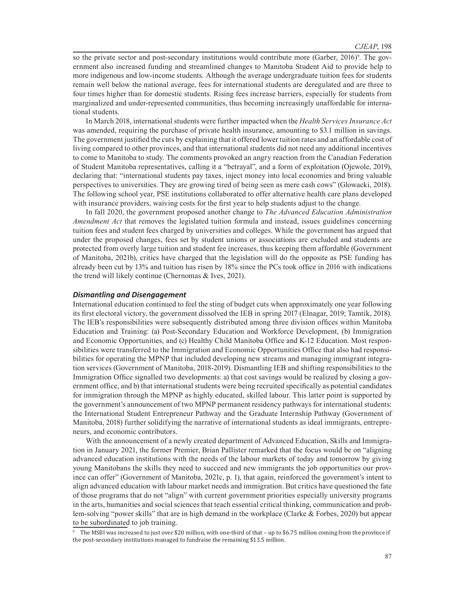so the private sector and post-secondary institutions would contribute more (Garber, 2016)<sup>9</sup>. The government also increased funding and streamlined changes to Manitoba Student Aid to provide help to more indigenous and low-income students. Although the average undergraduate tuition fees for students remain well below the national average, fees for international students are deregulated and are three to four times higher than for domestic students. Rising fees increase barriers, especially for students from marginalized and under-represented communities, thus becoming increasingly unaffordable for international students.

In March 2018, international students were further impacted when the *Health Services Insurance Act* was amended, requiring the purchase of private health insurance, amounting to \$3.1 million in savings. The government justified the cuts by explaining that it offered lower tuition rates and an affordable cost of living compared to other provinces, and that international students did not need any additional incentives to come to Manitoba to study. The comments provoked an angry reaction from the Canadian Federation of Student Manitoba representatives, calling it a "betrayal", and a form of exploitation (Ojewole, 2019), declaring that: "international students pay taxes, inject money into local economies and bring valuable perspectives to universities. They are growing tired of being seen as mere cash cows" (Glowacki, 2018). The following school year, PSE institutions collaborated to offer alternative health care plans developed with insurance providers, waiving costs for the first year to help students adjust to the change.

In fall 2020, the government proposed another change to *The Advanced Education Administration Amendment Act* that removes the legislated tuition formula and instead, issues guidelines concerning tuition fees and student fees charged by universities and colleges. While the government has argued that under the proposed changes, fees set by student unions or associations are excluded and students are protected from overly large tuition and student fee increases, thus keeping them affordable (Government of Manitoba, 2021b), critics have charged that the legislation will do the opposite as PSE funding has already been cut by 13% and tuition has risen by 18% since the PCs took office in 2016 with indications the trend will likely continue (Chernomas & Ives, 2021).

## *Dismantling and Disengagement*

International education continued to feel the sting of budget cuts when approximately one year following its first electoral victory, the government dissolved the IEB in spring 2017 (Elnagar, 2019; Tamtik, 2018). The IEB's responsibilities were subsequently distributed among three division offices within Manitoba Education and Training: (a) Post-Secondary Education and Workforce Development, (b) Immigration and Economic Opportunities, and (c) Healthy Child Manitoba Office and K-12 Education. Most responsibilities were transferred to the Immigration and Economic Opportunities Office that also had responsibilities for operating the MPNP that included developing new streams and managing immigrant integration services (Government of Manitoba, 2018-2019). Dismantling IEB and shifting responsibilities to the Immigration Office signalled two developments: a) that cost savings would be realized by closing a government office, and b) that international students were being recruited specifically as potential candidates for immigration through the MPNP as highly educated, skilled labour. This latter point is supported by the government's announcement of two MPNP permanent residency pathways for international students: the International Student Entrepreneur Pathway and the Graduate Internship Pathway (Government of Manitoba, 2018) further solidifying the narrative of international students as ideal immigrants, entrepreneurs, and economic contributors.

With the announcement of a newly created department of Advanced Education, Skills and Immigration in January 2021, the former Premier, Brian Pallister remarked that the focus would be on "aligning advanced education institutions with the needs of the labour markets of today and tomorrow by giving young Manitobans the skills they need to succeed and new immigrants the job opportunities our province can offer" (Government of Manitoba, 2021c, p. 1), that again, reinforced the government's intent to align advanced education with labour market needs and immigration. But critics have questioned the fate of those programs that do not "align" with current government priorities especially university programs in the arts, humanities and social sciences that teach essential critical thinking, communication and problem-solving "power skills" that are in high demand in the workplace (Clarke & Forbes, 2020) but appear to be subordinated to job training.

<sup>9</sup> The MSBI was increased to just over \$20 million, with one-third of that – up to \$6.75 million coming from the province if the post-secondary institutions managed to fundraise the remaining \$13.5 million.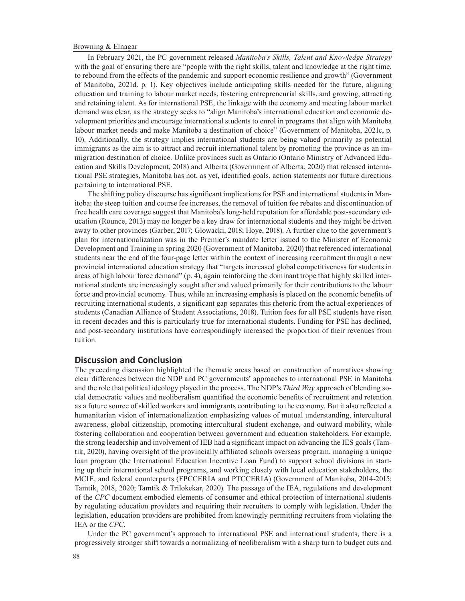In February 2021, the PC government released *Manitoba's Skills, Talent and Knowledge Strategy* with the goal of ensuring there are "people with the right skills, talent and knowledge at the right time, to rebound from the effects of the pandemic and support economic resilience and growth" (Government of Manitoba, 2021d. p. 1). Key objectives include anticipating skills needed for the future, aligning education and training to labour market needs, fostering entrepreneurial skills, and growing, attracting and retaining talent. As for international PSE, the linkage with the economy and meeting labour market demand was clear, as the strategy seeks to "align Manitoba's international education and economic development priorities and encourage international students to enrol in programs that align with Manitoba labour market needs and make Manitoba a destination of choice" (Government of Manitoba, 2021c, p. 10). Additionally, the strategy implies international students are being valued primarily as potential immigrants as the aim is to attract and recruit international talent by promoting the province as an immigration destination of choice. Unlike provinces such as Ontario (Ontario Ministry of Advanced Education and Skills Development, 2018) and Alberta (Government of Alberta, 2020) that released international PSE strategies, Manitoba has not, as yet, identified goals, action statements nor future directions pertaining to international PSE.

The shifting policy discourse has significant implications for PSE and international students in Manitoba: the steep tuition and course fee increases, the removal of tuition fee rebates and discontinuation of free health care coverage suggest that Manitoba's long-held reputation for affordable post-secondary education (Rounce, 2013) may no longer be a key draw for international students and they might be driven away to other provinces (Garber, 2017; Glowacki, 2018; Hoye, 2018). A further clue to the government's plan for internationalization was in the Premier's mandate letter issued to the Minister of Economic Development and Training in spring 2020 (Government of Manitoba, 2020) that referenced international students near the end of the four-page letter within the context of increasing recruitment through a new provincial international education strategy that "targets increased global competitiveness for students in areas of high labour force demand" (p. 4), again reinforcing the dominant trope that highly skilled international students are increasingly sought after and valued primarily for their contributions to the labour force and provincial economy. Thus, while an increasing emphasis is placed on the economic benefits of recruiting international students, a significant gap separates this rhetoric from the actual experiences of students (Canadian Alliance of Student Associations, 2018). Tuition fees for all PSE students have risen in recent decades and this is particularly true for international students. Funding for PSE has declined, and post-secondary institutions have correspondingly increased the proportion of their revenues from tuition.

## **Discussion and Conclusion**

The preceding discussion highlighted the thematic areas based on construction of narratives showing clear differences between the NDP and PC governments' approaches to international PSE in Manitoba and the role that political ideology played in the process. The NDP's *Third Way* approach of blending social democratic values and neoliberalism quantified the economic benefits of recruitment and retention as a future source of skilled workers and immigrants contributing to the economy. But it also reflected a humanitarian vision of internationalization emphasizing values of mutual understanding, intercultural awareness, global citizenship, promoting intercultural student exchange, and outward mobility, while fostering collaboration and cooperation between government and education stakeholders. For example, the strong leadership and involvement of IEB had a significant impact on advancing the IES goals (Tamtik, 2020), having oversight of the provincially affiliated schools overseas program, managing a unique loan program (the International Education Incentive Loan Fund) to support school divisions in starting up their international school programs, and working closely with local education stakeholders, the MCIE, and federal counterparts (FPCCERIA and PTCCERIA) (Government of Manitoba, 2014-2015; Tamtik, 2018, 2020; Tamtik & Trilokekar, 2020). The passage of the IEA, regulations and development of the *CPC* document embodied elements of consumer and ethical protection of international students by regulating education providers and requiring their recruiters to comply with legislation. Under the legislation, education providers are prohibited from knowingly permitting recruiters from violating the IEA or the *CPC*.

Under the PC government's approach to international PSE and international students, there is a progressively stronger shift towards a normalizing of neoliberalism with a sharp turn to budget cuts and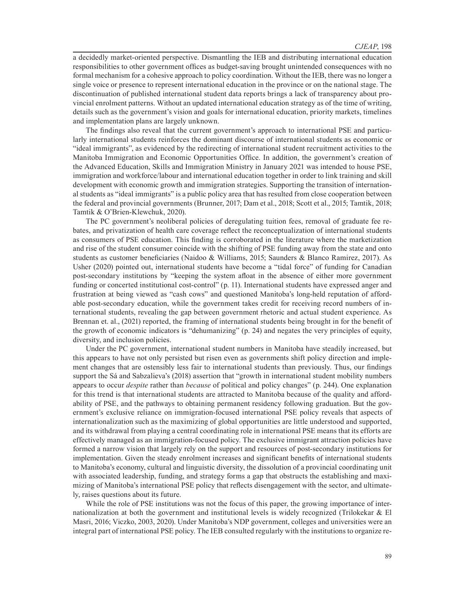a decidedly market-oriented perspective. Dismantling the IEB and distributing international education responsibilities to other government offices as budget-saving brought unintended consequences with no formal mechanism for a cohesive approach to policy coordination. Without the IEB, there was no longer a single voice or presence to represent international education in the province or on the national stage. The discontinuation of published international student data reports brings a lack of transparency about provincial enrolment patterns. Without an updated international education strategy as of the time of writing, details such as the government's vision and goals for international education, priority markets, timelines and implementation plans are largely unknown.

The findings also reveal that the current government's approach to international PSE and particularly international students reinforces the dominant discourse of international students as economic or "ideal immigrants", as evidenced by the redirecting of international student recruitment activities to the Manitoba Immigration and Economic Opportunities Office. In addition, the government's creation of the Advanced Education, Skills and Immigration Ministry in January 2021 was intended to house PSE, immigration and workforce/labour and international education together in order to link training and skill development with economic growth and immigration strategies. Supporting the transition of international students as "ideal immigrants" is a public policy area that has resulted from close cooperation between the federal and provincial governments (Brunner, 2017; Dam et al., 2018; Scott et al., 2015; Tamtik, 2018; Tamtik & O'Brien-Klewchuk, 2020).

The PC government's neoliberal policies of deregulating tuition fees, removal of graduate fee rebates, and privatization of health care coverage reflect the reconceptualization of international students as consumers of PSE education. This finding is corroborated in the literature where the marketization and rise of the student consumer coincide with the shifting of PSE funding away from the state and onto students as customer beneficiaries (Naidoo & Williams, 2015; Saunders & Blanco Ramirez, 2017). As Usher (2020) pointed out, international students have become a "tidal force" of funding for Canadian post-secondary institutions by "keeping the system afloat in the absence of either more government funding or concerted institutional cost-control" (p. 11). International students have expressed anger and frustration at being viewed as "cash cows" and questioned Manitoba's long-held reputation of affordable post-secondary education, while the government takes credit for receiving record numbers of international students, revealing the gap between government rhetoric and actual student experience. As Brennan et. al., (2021) reported, the framing of international students being brought in for the benefit of the growth of economic indicators is "dehumanizing" (p. 24) and negates the very principles of equity, diversity, and inclusion policies.

Under the PC government, international student numbers in Manitoba have steadily increased, but this appears to have not only persisted but risen even as governments shift policy direction and implement changes that are ostensibly less fair to international students than previously. Thus, our findings support the Sá and Sabzalieva's (2018) assertion that "growth in international student mobility numbers appears to occur *despite* rather than *because* of political and policy changes" (p. 244). One explanation for this trend is that international students are attracted to Manitoba because of the quality and affordability of PSE, and the pathways to obtaining permanent residency following graduation. But the government's exclusive reliance on immigration-focused international PSE policy reveals that aspects of internationalization such as the maximizing of global opportunities are little understood and supported, and its withdrawal from playing a central coordinating role in international PSE means that its efforts are effectively managed as an immigration-focused policy. The exclusive immigrant attraction policies have formed a narrow vision that largely rely on the support and resources of post-secondary institutions for implementation. Given the steady enrolment increases and significant benefits of international students to Manitoba's economy, cultural and linguistic diversity, the dissolution of a provincial coordinating unit with associated leadership, funding, and strategy forms a gap that obstructs the establishing and maximizing of Manitoba's international PSE policy that reflects disengagement with the sector, and ultimately, raises questions about its future.

While the role of PSE institutions was not the focus of this paper, the growing importance of internationalization at both the government and institutional levels is widely recognized (Trilokekar & El Masri, 2016; Viczko, 2003, 2020). Under Manitoba's NDP government, colleges and universities were an integral part of international PSE policy. The IEB consulted regularly with the institutions to organize re-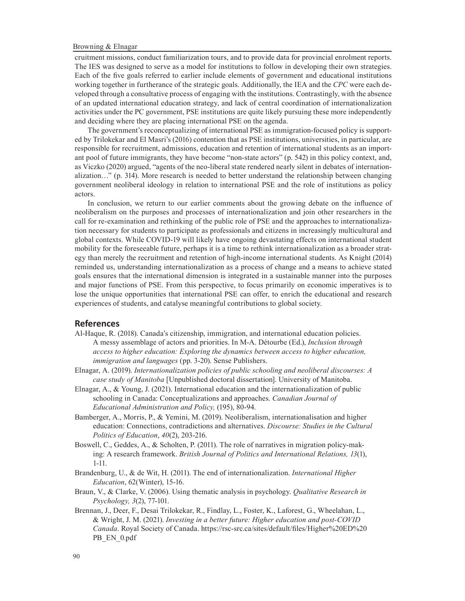cruitment missions, conduct familiarization tours, and to provide data for provincial enrolment reports. The IES was designed to serve as a model for institutions to follow in developing their own strategies. Each of the five goals referred to earlier include elements of government and educational institutions working together in furtherance of the strategic goals. Additionally, the IEA and the *CPC* were each developed through a consultative process of engaging with the institutions. Contrastingly, with the absence of an updated international education strategy, and lack of central coordination of internationalization activities under the PC government, PSE institutions are quite likely pursuing these more independently and deciding where they are placing international PSE on the agenda.

The government's reconceptualizing of international PSE as immigration-focused policy is supported by Trilokekar and El Masri's (2016) contention that as PSE institutions, universities, in particular, are responsible for recruitment, admissions, education and retention of international students as an important pool of future immigrants, they have become "non-state actors" (p. 542) in this policy context, and, as Viczko (2020) argued, "agents of the neo-liberal state rendered nearly silent in debates of internationalization…" (p. 314). More research is needed to better understand the relationship between changing government neoliberal ideology in relation to international PSE and the role of institutions as policy actors.

In conclusion, we return to our earlier comments about the growing debate on the influence of neoliberalism on the purposes and processes of internationalization and join other researchers in the call for re-examination and rethinking of the public role of PSE and the approaches to internationalization necessary for students to participate as professionals and citizens in increasingly multicultural and global contexts. While COVID-19 will likely have ongoing devastating effects on international student mobility for the foreseeable future, perhaps it is a time to rethink internationalization as a broader strategy than merely the recruitment and retention of high-income international students. As Knight (2014) reminded us, understanding internationalization as a process of change and a means to achieve stated goals ensures that the international dimension is integrated in a sustainable manner into the purposes and major functions of PSE. From this perspective, to focus primarily on economic imperatives is to lose the unique opportunities that international PSE can offer, to enrich the educational and research experiences of students, and catalyse meaningful contributions to global society.

#### **References**

- Al-Haque, R. (2018). Canada's citizenship, immigration, and international education policies. A messy assemblage of actors and priorities. In M-A. Détourbe (Ed.), *Inclusion through access to higher education: Exploring the dynamics between access to higher education, immigration and languages* (pp. 3-20). Sense Publishers.
- Elnagar, A. (2019). *Internationalization policies of public schooling and neoliberal discourses: A case study of Manitoba* [Unpublished doctoral dissertation]. University of Manitoba.
- Elnagar, A., & Young, J. (2021). International education and the internationalization of public schooling in Canada: Conceptualizations and approaches. *Canadian Journal of Educational Administration and Policy,* (195), 80-94.
- Bamberger, A., Morris, P., & Yemini, M. (2019). Neoliberalism, internationalisation and higher education: Connections, contradictions and alternatives. *Discourse: Studies in the Cultural Politics of Education*, *40*(2), 203-216.
- Boswell, C., Geddes, A., & Scholten, P. (2011). The role of narratives in migration policy-making: A research framework. *British Journal of Politics and International Relations, 13*(1), 1-11.
- Brandenburg, U., & de Wit, H. (2011). The end of internationalization. *International Higher Education*, 62(Winter), 15-16.
- Braun, V., & Clarke, V. (2006). Using thematic analysis in psychology. *Qualitative Research in Psychology, 3*(2), 77-101.
- Brennan, J., Deer, F., Desai Trilokekar, R., Findlay, L., Foster, K., Laforest, G., Wheelahan, L., & Wright, J. M. (2021). *Investing in a better future: Higher education and post-COVID Canada*. Royal Society of Canada. https://rsc-src.ca/sites/default/files/Higher%20ED%20 PB\_EN\_0.pdf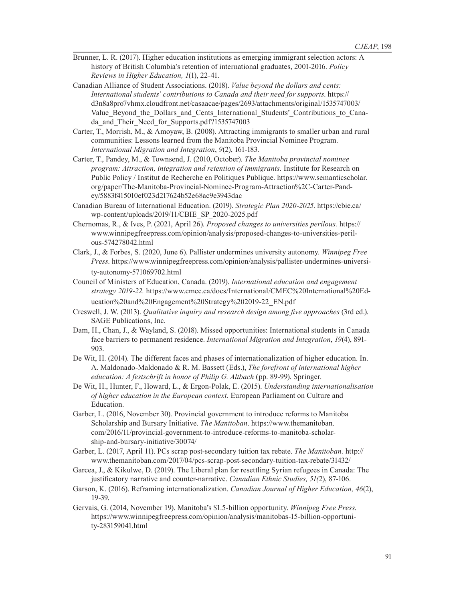- Brunner, L. R. (2017). Higher education institutions as emerging immigrant selection actors: A history of British Columbia's retention of international graduates, 2001-2016. *Policy Reviews in Higher Education, 1*(1), 22-41.
- Canadian Alliance of Student Associations. (2018). *Value beyond the dollars and cents: International students' contributions to Canada and their need for supports*. https:// d3n8a8pro7vhmx.cloudfront.net/casaacae/pages/2693/attachments/original/1535747003/ Value Beyond the Dollars and Cents International Students' Contributions to Canada\_and\_Their\_Need\_for\_Supports.pdf?1535747003
- Carter, T., Morrish, M., & Amoyaw, B. (2008). Attracting immigrants to smaller urban and rural communities: Lessons learned from the Manitoba Provincial Nominee Program. *International Migration and Integration*, *9*(2), 161-183.
- Carter, T., Pandey, M., & Townsend, J. (2010, October). *The Manitoba provincial nominee program: Attraction, integration and retention of immigrants.* Institute for Research on Public Policy / Institut de Recherche en Politiques Publique. https://www.semanticscholar. org/paper/The-Manitoba-Provincial-Nominee-Program-Attraction%2C-Carter-Pandey/5883f415010ef023d217624b52e68ac9e3943dac
- Canadian Bureau of International Education. (2019). *Strategic Plan 2020-2025*. https://cbie.ca/ wp-content/uploads/2019/11/CBIE\_SP\_2020-2025.pdf
- Chernomas, R., & Ives, P. (2021, April 26). *Proposed changes to universities perilous.* https:// www.winnipegfreepress.com/opinion/analysis/proposed-changes-to-universities-perilous-574278042.html
- Clark, J., & Forbes, S. (2020, June 6). Pallister undermines university autonomy. *Winnipeg Free Press*. https://www.winnipegfreepress.com/opinion/analysis/pallister-undermines-university-autonomy-571069702.html
- Council of Ministers of Education, Canada. (2019). *International education and engagement strategy 2019-22.* https://www.cmec.ca/docs/International/CMEC%20International%20Education%20and%20Engagement%20Strategy%202019-22\_EN.pdf
- Creswell, J. W. (2013). *Qualitative inquiry and research design among five approaches* (3rd ed.). SAGE Publications, Inc.
- Dam, H., Chan, J., & Wayland, S. (2018). Missed opportunities: International students in Canada face barriers to permanent residence. *International Migration and Integration*, *19*(4), 891- 903.
- De Wit, H. (2014). The different faces and phases of internationalization of higher education. In. A. Maldonado-Maldonado & R. M. Bassett (Eds.), *The forefront of international higher education: A festschrift in honor of Philip G. Altbach* (pp. 89-99). Springer.
- De Wit, H., Hunter, F., Howard, L., & Ergon-Polak, E. (2015). *Understanding internationalisation of higher education in the European context.* European Parliament on Culture and Education.
- Garber, L. (2016, November 30). Provincial government to introduce reforms to Manitoba Scholarship and Bursary Initiative. *The Manitoban*. https://www.themanitoban. com/2016/11/provincial-government-to-introduce-reforms-to-manitoba-scholarship-and-bursary-initiative/30074/
- Garber, L. (2017, April 11). PCs scrap post-secondary tuition tax rebate. *The Manitoban.* http:// www.themanitoban.com/2017/04/pcs-scrap-post-secondary-tuition-tax-rebate/31432/
- Garcea, J., & Kikulwe, D. (2019). The Liberal plan for resettling Syrian refugees in Canada: The justificatory narrative and counter-narrative. *Canadian Ethnic Studies, 51(*2), 87-106.
- Garson, K. (2016). Reframing internationalization. *Canadian Journal of Higher Education, 46*(2), 19-39.
- Gervais, G. (2014, November 19). Manitoba's \$1.5-billion opportunity. *Winnipeg Free Press*. https://www.winnipegfreepress.com/opinion/analysis/manitobas-15-billion-opportunity-283159041.html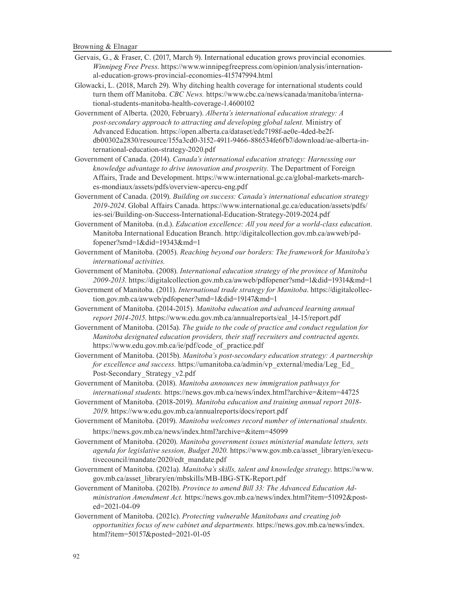- Gervais, G., & Fraser, C. (2017, March 9). International education grows provincial economies*. Winnipeg Free Press*. https://www.winnipegfreepress.com/opinion/analysis/international-education-grows-provincial-economies-415747994.html
- Glowacki, L. (2018, March 29). Why ditching health coverage for international students could turn them off Manitoba. *CBC News.* https://www.cbc.ca/news/canada/manitoba/international-students-manitoba-health-coverage-1.4600102
- Government of Alberta. (2020, February). *Alberta's international education strategy: A post-secondary approach to attracting and developing global talent.* Ministry of Advanced Education. https://open.alberta.ca/dataset/edc7198f-ae0e-4ded-be2fdb00302a2830/resource/155a3cd0-3152-4911-9466-886534fe6fb7/download/ae-alberta-international-education-strategy-2020.pdf
- Government of Canada. (2014). *Canada's international education strategy: Harnessing our knowledge advantage to drive innovation and prosperity.* The Department of Foreign Affairs, Trade and Development. https://www.international.gc.ca/global-markets-marches-mondiaux/assets/pdfs/overview-apercu-eng.pdf
- Government of Canada. (2019). *Building on success: Canada's international education strategy 2019-2024*. Global Affairs Canada. https://www.international.gc.ca/education/assets/pdfs/ ies-sei/Building-on-Success-International-Education-Strategy-2019-2024.pdf
- Government of Manitoba. (n.d.). *Education excellence: All you need for a world-class education.*  Manitoba International Education Branch. http://digitalcollection.gov.mb.ca/awweb/pdfopener?smd=1&did=19343&md=1
- Government of Manitoba. (2005). *Reaching beyond our borders: The framework for Manitoba's international activities.*
- Government of Manitoba. (2008). *International education strategy of the province of Manitoba 2009-2013.* https://digitalcollection.gov.mb.ca/awweb/pdfopener?smd=1&did=19314&md=1
- Government of Manitoba. (2011). *International trade strategy for Manitoba*. https://digitalcollection.gov.mb.ca/awweb/pdfopener?smd=1&did=19147&md=1
- Government of Manitoba. (2014-2015). *Manitoba education and advanced learning annual report 2014-2015*. https://www.edu.gov.mb.ca/annualreports/eal\_14-15/report.pdf
- Government of Manitoba. (2015a). *The guide to the code of practice and conduct regulation for Manitoba designated education providers, their staff recruiters and contracted agents.* https://www.edu.gov.mb.ca/ie/pdf/code\_of\_practice.pdf
- Government of Manitoba. (2015b). *Manitoba's post-secondary education strategy: A partnership for excellence and success.* https://umanitoba.ca/admin/vp\_external/media/Leg\_Ed\_ Post-Secondary\_Strategy\_v2.pdf
- Government of Manitoba. (2018). *Manitoba announces new immigration pathways for international students.* https://news.gov.mb.ca/news/index.html?archive=&item=44725
- Government of Manitoba. (2018-2019). *Manitoba education and training annual report 2018- 2019*. https://www.edu.gov.mb.ca/annualreports/docs/report.pdf
- Government of Manitoba. (2019). *Manitoba welcomes record number of international students.*  https://news.gov.mb.ca/news/index.html?archive=&item=45099
- Government of Manitoba. (2020). *Manitoba government issues ministerial mandate letters, sets agenda for legislative session, Budget 2020.* https://www.gov.mb.ca/asset\_library/en/executivecouncil/mandate/2020/edt\_mandate.pdf
- Government of Manitoba. (2021a). *Manitoba's skills, talent and knowledge strategy*. https://www. gov.mb.ca/asset\_library/en/mbskills/MB-IBG-STK-Report.pdf
- Government of Manitoba. (2021b). *Province to amend Bill 33: The Advanced Education Administration Amendment Act.* https://news.gov.mb.ca/news/index.html?item=51092&posted=2021-04-09
- Government of Manitoba. (2021c). *Protecting vulnerable Manitobans and creating job opportunities focus of new cabinet and departments.* https://news.gov.mb.ca/news/index. html?item=50157&posted=2021-01-05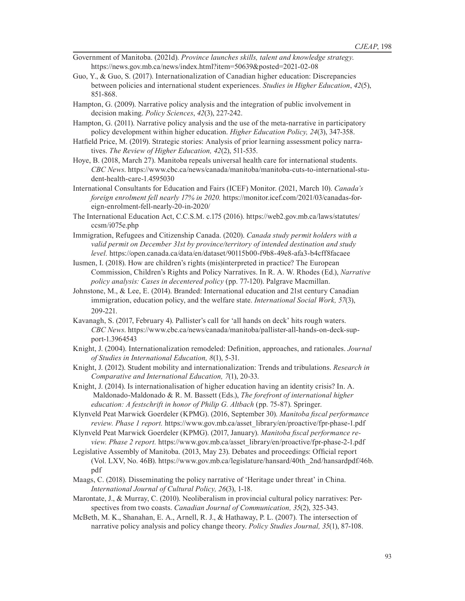- Government of Manitoba. (2021d). *Province launches skills, talent and knowledge strategy*. https://news.gov.mb.ca/news/index.html?item=50639&posted=2021-02-08
- Guo, Y., & Guo, S. (2017). Internationalization of Canadian higher education: Discrepancies between policies and international student experiences. *Studies in Higher Education*, *42*(5), 851-868.
- Hampton, G. (2009). Narrative policy analysis and the integration of public involvement in decision making. *Policy Sciences*, *42*(3), 227-242.
- Hampton, G. (2011). Narrative policy analysis and the use of the meta-narrative in participatory policy development within higher education. *Higher Education Policy, 24*(3), 347-358.
- Hatfield Price, M. (2019). Strategic stories: Analysis of prior learning assessment policy narratives. *The Review of Higher Education, 42*(2), 511-535.
- Hoye, B. (2018, March 27). Manitoba repeals universal health care for international students. *CBC News*. https://www.cbc.ca/news/canada/manitoba/manitoba-cuts-to-international-student-health-care-1.4595030
- International Consultants for Education and Fairs (ICEF) Monitor. (2021, March 10). *Canada's foreign enrolment fell nearly 17% in 2020.* https://monitor.icef.com/2021/03/canadas-foreign-enrolment-fell-nearly-20-in-2020/
- The International Education Act, C.C.S.M. c.175 (2016). https://web2.gov.mb.ca/laws/statutes/ ccsm/i075e.php
- Immigration, Refugees and Citizenship Canada. (2020). *Canada study permit holders with a valid permit on December 31st by province/territory of intended destination and study level.* https://open.canada.ca/data/en/dataset/90115b00-f9b8-49e8-afa3-b4cff8facaee
- Iusmen, I. (2018). How are children's rights (mis)interpreted in practice? The European Commission, Children's Rights and Policy Narratives. In R. A. W. Rhodes (Ed.), *Narrative policy analysis: Cases in decentered policy* (pp. 77-120). Palgrave Macmillan.
- Johnstone, M., & Lee, E. (2014). Branded: International education and 21st century Canadian immigration, education policy, and the welfare state. *International Social Work, 57*(3), 209-221.
- Kavanagh, S. (2017, February 4). Pallister's call for 'all hands on deck' hits rough waters. *CBC News*. https://www.cbc.ca/news/canada/manitoba/pallister-all-hands-on-deck-support-1.3964543
- Knight, J. (2004). Internationalization remodeled: Definition, approaches, and rationales. *Journal of Studies in International Education, 8*(1), 5-31.
- Knight, J. (2012). Student mobility and internationalization: Trends and tribulations. *Research in Comparative and International Education, 7*(1), 20-33.
- Knight, J. (2014). Is internationalisation of higher education having an identity crisis? In. A. Maldonado-Maldonado & R. M. Bassett (Eds.), *The forefront of international higher education: A festschrift in honor of Philip G. Altbach* (pp. 75-87). Springer.
- Klynveld Peat Marwick Goerdeler (KPMG). (2016, September 30). *Manitoba fiscal performance review. Phase 1 report.* https://www.gov.mb.ca/asset\_library/en/proactive/fpr-phase-1.pdf
- Klynveld Peat Marwick Goerdeler (KPMG). (2017, January). *Manitoba fiscal performance review. Phase 2 report.* https://www.gov.mb.ca/asset\_library/en/proactive/fpr-phase-2-1.pdf
- Legislative Assembly of Manitoba. (2013, May 23). Debates and proceedings: Official report (Vol. LXV, No. 46B). https://www.gov.mb.ca/legislature/hansard/40th\_2nd/hansardpdf/46b. pdf
- Maags, C. (2018). Disseminating the policy narrative of 'Heritage under threat' in China. *International Journal of Cultural Policy, 26*(3), 1-18.
- Marontate, J., & Murray, C. (2010). Neoliberalism in provincial cultural policy narratives: Perspectives from two coasts. *Canadian Journal of Communication, 35*(2), 325-343.
- McBeth, M. K., Shanahan, E. A., Arnell, R. J., & Hathaway, P. L. (2007). The intersection of narrative policy analysis and policy change theory. *Policy Studies Journal, 35*(1), 87-108.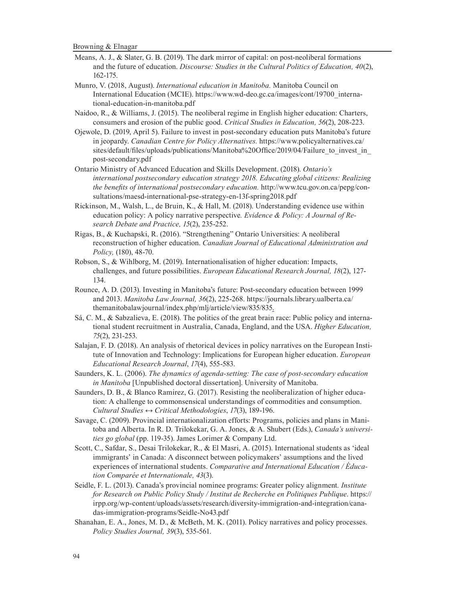- Means, A. J., & Slater, G. B. (2019). The dark mirror of capital: on post-neoliberal formations and the future of education. *Discourse: Studies in the Cultural Politics of Education, 40*(2), 162-175.
- Munro, V. (2018, August). *International education in Manitoba.* Manitoba Council on International Education (MCIE). https://www.wd-deo.gc.ca/images/cont/19700\_international-education-in-manitoba.pdf
- Naidoo, R., & Williams, J. (2015). The neoliberal regime in English higher education: Charters, consumers and erosion of the public good. *Critical Studies in Education, 56*(2), 208-223.
- Ojewole, D. (2019, April 5). Failure to invest in post-secondary education puts Manitoba's future in jeopardy. *Canadian Centre for Policy Alternatives.* https://www.policyalternatives.ca/ sites/default/files/uploads/publications/Manitoba%20Office/2019/04/Failure to invest in post-secondary.pdf
- Ontario Ministry of Advanced Education and Skills Development. (2018). *Ontario's international postsecondary education strategy 2018. Educating global citizens: Realizing the benefits of international postsecondary education.* http://www.tcu.gov.on.ca/pepg/consultations/maesd-international-pse-strategy-en-13f-spring2018.pdf
- Rickinson, M., Walsh, L., de Bruin, K., & Hall, M. (2018). Understanding evidence use within education policy: A policy narrative perspective*. Evidence & Policy: A Journal of Research Debate and Practice, 15*(2), 235-252.
- Rigas, B., & Kuchapski, R. (2016). "Strengthening" Ontario Universities: A neoliberal reconstruction of higher education. *Canadian Journal of Educational Administration and Policy,* (180), 48-70.
- Robson, S., & Wihlborg, M. (2019). Internationalisation of higher education: Impacts, challenges, and future possibilities. *European Educational Research Journal, 18*(2), 127- 134.
- Rounce, A. D. (2013). Investing in Manitoba's future: Post-secondary education between 1999 and 2013. *Manitoba Law Journal, 36*(2), 225-268. https://journals.library.ualberta.ca/ themanitobalawjournal/index.php/mlj/article/view/835/835.
- Sá, C. M., & Sabzalieva, E. (2018). The politics of the great brain race: Public policy and international student recruitment in Australia, Canada, England, and the USA. *Higher Education, 75*(2), 231-253.
- Salajan, F. D. (2018). An analysis of rhetorical devices in policy narratives on the European Institute of Innovation and Technology: Implications for European higher education. *European Educational Research Journal*, *17*(4), 555-583.
- Saunders, K. L. (2006). *The dynamics of agenda-setting: The case of post-secondary education in Manitoba* [Unpublished doctoral dissertation]. University of Manitoba.
- Saunders, D. B., & Blanco Ramirez, G. (2017). Resisting the neoliberalization of higher education: A challenge to commonsensical understandings of commodities and consumption. *Cultural Studies ↔ Critical Methodologies*, *17*(3), 189-196.
- Savage, C. (2009). Provincial internationalization efforts: Programs, policies and plans in Manitoba and Alberta. In R. D. Trilokekar, G. A. Jones, & A. Shubert (Eds.), *Canada's universities go global* (pp. 119-35). James Lorimer & Company Ltd.
- Scott, C., Safdar, S., Desai Trilokekar, R., & El Masri, A. (2015). International students as 'ideal immigrants' in Canada: A disconnect between policymakers' assumptions and the lived experiences of international students. *Comparative and International Education / Éducation Comparée et Internationale, 43*(3).
- Seidle, F. L. (2013). Canada's provincial nominee programs: Greater policy alignment*. Institute for Research on Public Policy Study / Institut de Recherche en Politiques Publique*. https:// irpp.org/wp-content/uploads/assets/research/diversity-immigration-and-integration/canadas-immigration-programs/Seidle-No43.pdf
- Shanahan, E. A., Jones, M. D., & McBeth, M. K. (2011). Policy narratives and policy processes. *Policy Studies Journal, 39*(3), 535-561.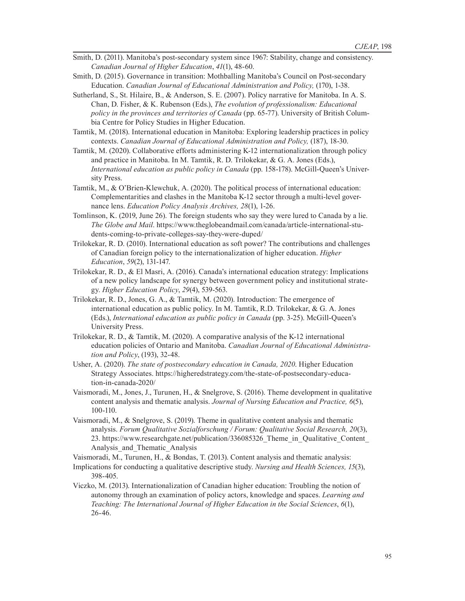- Smith, D. (2011). Manitoba's post-secondary system since 1967: Stability, change and consistency. *Canadian Journal of Higher Education*, *41*(1), 48-60.
- Smith, D. (2015). Governance in transition: Mothballing Manitoba's Council on Post-secondary Education. *Canadian Journal of Educational Administration and Policy,* (170), 1-38.
- Sutherland, S., St. Hilaire, B., & Anderson, S. E. (2007). Policy narrative for Manitoba. In A. S. Chan, D. Fisher, & K. Rubenson (Eds.), *The evolution of professionalism: Educational policy in the provinces and territories of Canada* (pp. 65-77). University of British Columbia Centre for Policy Studies in Higher Education.
- Tamtik, M. (2018). International education in Manitoba: Exploring leadership practices in policy contexts. *Canadian Journal of Educational Administration and Policy,* (187), 18-30.
- Tamtik, M. (2020). Collaborative efforts administering K-12 internationalization through policy and practice in Manitoba. In M. Tamtik, R. D. Trilokekar, & G. A. Jones (Eds.), *International education as public policy in Canada* (pp. 158-178). McGill-Queen's University Press.
- Tamtik, M., & O'Brien-Klewchuk, A. (2020). The political process of international education: Complementarities and clashes in the Manitoba K-12 sector through a multi-level governance lens. *Education Policy Analysis Archives, 28*(1), 1-26.
- Tomlinson, K. (2019, June 26). The foreign students who say they were lured to Canada by a lie. *The Globe and Mail*. https://www.theglobeandmail.com/canada/article-international-students-coming-to-private-colleges-say-they-were-duped/
- Trilokekar, R. D. (2010). International education as soft power? The contributions and challenges of Canadian foreign policy to the internationalization of higher education. *Higher Education*, *59*(2), 131-147.
- Trilokekar, R. D., & El Masri, A. (2016). Canada's international education strategy: Implications of a new policy landscape for synergy between government policy and institutional strategy. *Higher Education Policy*, *29*(4), 539-563.
- Trilokekar, R. D., Jones, G. A., & Tamtik, M. (2020). Introduction: The emergence of international education as public policy. In M. Tamtik, R.D. Trilokekar, & G. A. Jones (Eds.), *International education as public policy in Canada* (pp. 3-25). McGill-Queen's University Press.
- Trilokekar, R. D., & Tamtik, M. (2020). A comparative analysis of the K-12 international education policies of Ontario and Manitoba. *Canadian Journal of Educational Administration and Policy*, (193), 32-48.
- Usher, A. (2020). *The state of postsecondary education in Canada, 2020*. Higher Education Strategy Associates. https://higheredstrategy.com/the-state-of-postsecondary-education-in-canada-2020/
- Vaismoradi, M., Jones, J., Turunen, H., & Snelgrove, S. (2016). Theme development in qualitative content analysis and thematic analysis. *Journal of Nursing Education and Practice, 6*(5), 100-110.
- Vaismoradi, M., & Snelgrove, S. (2019). Theme in qualitative content analysis and thematic analysis. *Forum Qualitative Sozialforschung / Forum: Qualitative Social Research, 20*(3), 23. https://www.researchgate.net/publication/336085326\_Theme\_in\_Qualitative\_Content\_ Analysis\_and\_Thematic\_Analysis

Vaismoradi, M., Turunen, H., & Bondas, T. (2013). Content analysis and thematic analysis:

- Implications for conducting a qualitative descriptive study. *Nursing and Health Sciences, 15*(3), 398-405.
- Viczko, M. (2013). Internationalization of Canadian higher education: Troubling the notion of autonomy through an examination of policy actors, knowledge and spaces. *Learning and Teaching: The International Journal of Higher Education in the Social Sciences*, *6*(1), 26-46.